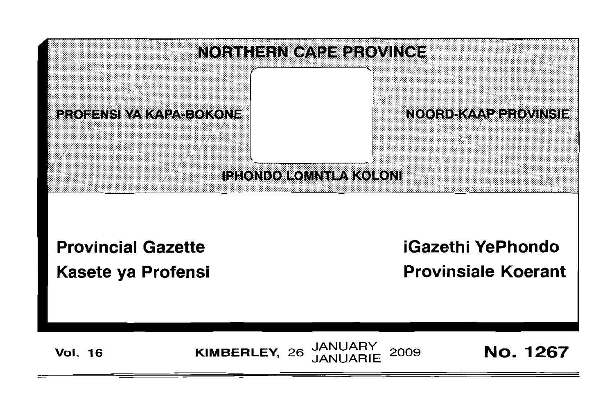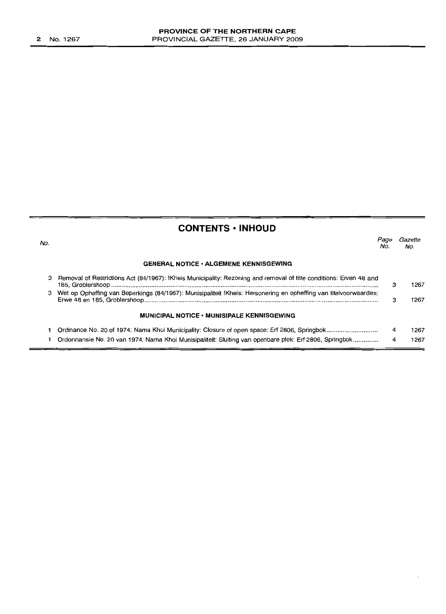# **CONTENTS • INHOUD**

| No. |                                                                                                                    | Page<br>No. | Gazette<br>No. |
|-----|--------------------------------------------------------------------------------------------------------------------|-------------|----------------|
|     | <b>GENERAL NOTICE · ALGEMENE KENNISGEWING</b>                                                                      |             |                |
| з   | Removal of Restrictions Act (84/1967): !Kheis Municipality: Rezoning and removal of title conditions: Erven 48 and | з           | 1267           |
| 3   | Wet op Opheffing van Beperkings (84/1967): Munisipaliteit !Kheis: Hersonering en opheffing van titelvoorwaardes:   | з           | 1267           |
|     | <b>MUNICIPAL NOTICE • MUNISIPALE KENNISGEWING</b>                                                                  |             |                |
|     |                                                                                                                    | 4           | 1267           |
|     | Ordonnansie No. 20 van 1974: Nama Khoi Munisipaliteit: Sluiting van openbare plek: Erf 2806, Springbok             | 4           | 1267           |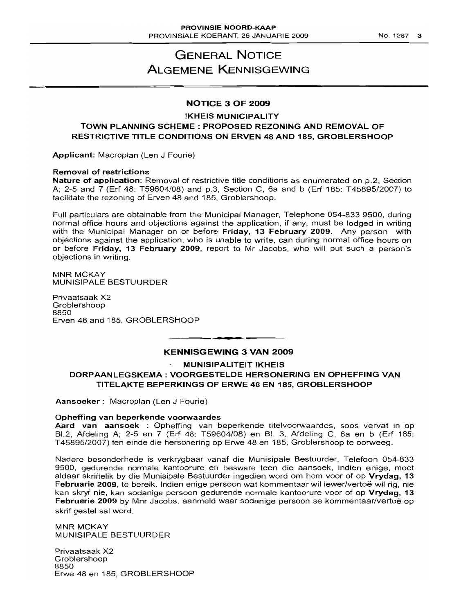# GENERAL NOTICE ALGEMENE KENNISGEWING

## NOTICE 3 OF 2009

### !KHEIS MUNICIPALITY TOWN PLANNING SCHEME: PROPOSED REZONING AND REMOVAL OF RESTRICTIVE TITLE CONDITIONS ON ERVEN 48 AND 185, GROBLERSHOOP

Applicant: Macroplan (Len J Fourie)

### Removal of restrictions

Nature of application: Removal of restrictive title conditions as enumerated on p.2, Section A; 2-5 and 7 (Erf 48: T59604/08) and p.3, Section C, 6a and b (Erf 185: T45895/2007) to facilitate the rezoning of Erven 48 and 185, Groblershoop.

Full particulars are obtainable from the Municipal Manager, Telephone 054-833 9500, during normal office hours and objections against the application, if any, must be lodged in writing with the Municipal Manager on or before Friday, 13 February 2009. Any person with objections against the application, who is unable to write, can during normal office hours on or before Friday, 13 February 2009, report to Mr Jacobs, who will put such a person's objections in writing.

MNR MCKAY MUNISIPALE BESTUURDER

Privaatsaak X2 Groblershoop 8850 Erven 48 and 185, GROBLERSHOOP

### KENNISGEWING 3 VAN 2009

**I •**

#### MUNISIPALITEIT !KHEIS

DORPAANLEGSKEMA: VOORGESTELDE HERSONERING EN OPHEFFING VAN TITELAKTE BEPERKINGS OP ERWE 48 EN 185, GROBLERSHOOP

Aansoeker: Macroplan (Len J Fourie)

#### Opheffing van beperkende voorwaardes

Aard van aansoek : Opheffing van beperkende titelvoorwaardes, soos vervat in op BI.2, Afdeling A; 2-5 en 7 (Erf 48: T59604/08) en BI. 3, Afdeling C, 6a en b (Erf 185: T45895/20(7) ten einde die hersonering op Erwe 48 en 185, Groblershoop te oorweeg.

Nadere besonderhede is verkrygbaar vanaf die Munisipale Bestuurder, Telefoon 054-833 9500, gedurende normale kantoorure en besware teen die aansoek, indien enige, moet aldaar skriftelik by die Munisipale Bestuurder ingedien word om hom voor of op Vrydag, 13 Februarie 2009, te bereik. Indien enige persoon wat kommentaar wil lewer/vertoë wil rig, nie kan skryf nie, kan sodanige persoon gedurende normale kantoorure voor of op Vrydag, 13 Februarie 2009 by Mnr Jacobs, aanmeld waar sodanige persoon se kommentaar/vertoe op skrif gestel sal word.

MNR MCKAY MUNISIPALE BESTUURDER

Privaatsaak X2 Groblershoop 8850 Erwe 48 en 185, GROBLERSHOOP